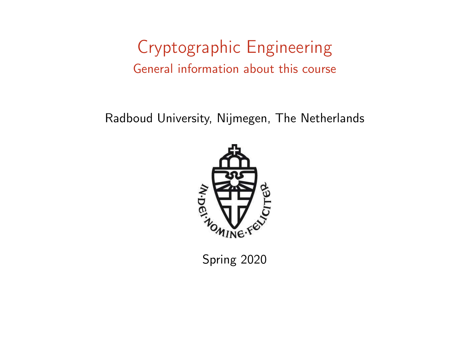## Cryptographic Engineering General information about this course

Radboud University, Nijmegen, The Netherlands



Spring 2020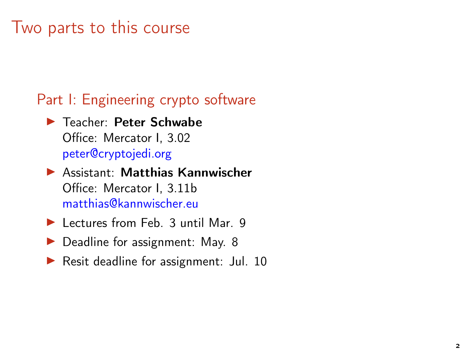### Two parts to this course

#### Part I: Engineering crypto software

- ▶ Teacher: Peter Schwabe Office: Mercator I, 3.02 [peter@cryptojedi.org](mailto:peter@cryptojedi.org)
- ▶ Assistant: Matthias Kannwischer Office: Mercator I, 3.11b [matthias@kannwischer.eu](mailto:matthias@kannwischer.eu)
- ▶ Lectures from Feb. 3 until Mar. 9
- ▶ Deadline for assignment: May. 8
- ▶ Resit deadline for assignment: Jul. 10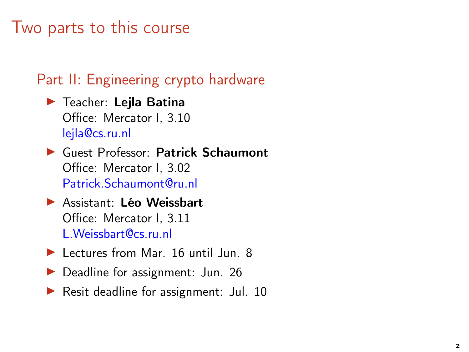### Two parts to this course

### Part II: Engineering crypto hardware

- $\blacktriangleright$  Teacher: Lejla Batina Office: Mercator I, 3.10 [lejla@cs.ru.nl](mailto:lejla@cs.ru.nl)
- ▶ Guest Professor: Patrick Schaumont Office: Mercator I, 3.02 [Patrick.Schaumont@ru.nl](mailto:Patrick.Schaumont@ru.nl)
- ▶ Assistant: Léo Weissbart Office: Mercator I, 3.11 [L.Weissbart@cs.ru.nl](mailto:L.Weissbart@cs.ru.nl)
- ▶ Lectures from Mar. 16 until Jun. 8
- ▶ Deadline for assignment: Jun. 26
- ▶ Resit deadline for assignment: Jul. 10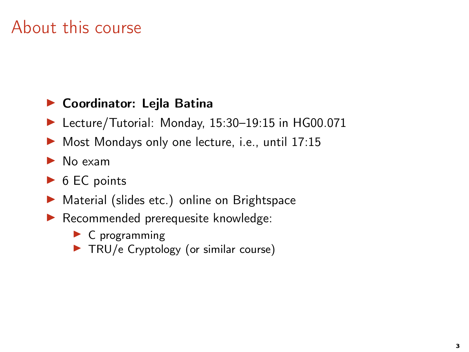# About this course

#### ▶ Coordinator: Lejla Batina

- ▶ Lecture/Tutorial: Monday, 15:30-19:15 in HG00.071
- ▶ Most Mondays only one lecture, i.e., until 17:15
- $\blacktriangleright$  No exam
- $\triangleright$  6 EC points
- ▶ Material (slides etc.) online on Brightspace
- ▶ Recommended prerequesite knowledge:
	- $\blacktriangleright$  C programming
	- ▶ TRU/e Cryptology (or similar course)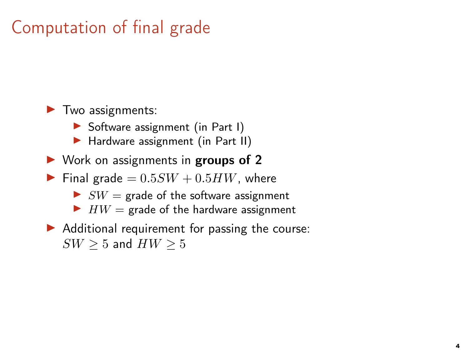# Computation of final grade

 $\blacktriangleright$  Two assignments:

- $\triangleright$  Software assignment (in Part I)
- ▶ Hardware assignment (in Part II)
- $\triangleright$  Work on assignments in groups of 2
- Final grade  $= 0.5SW + 0.5HW$ , where
	- $\triangleright$  SW = grade of the software assignment
	- $\blacktriangleright$  HW = grade of the hardware assignment
- $\blacktriangleright$  Additional requirement for passing the course:  $SW > 5$  and  $HW > 5$